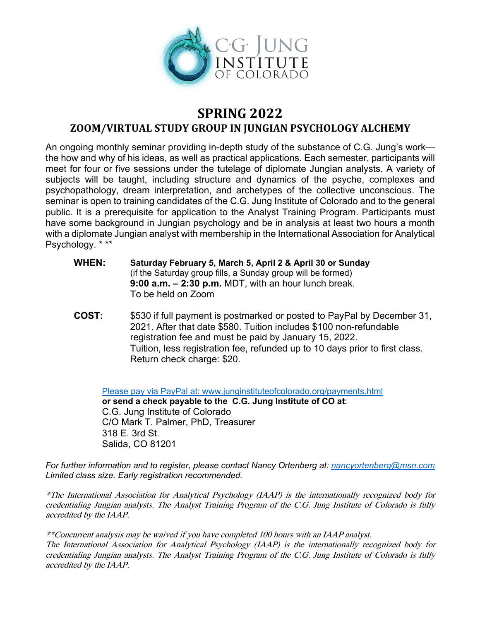

## **SPRING 2022 ZOOM/VIRTUAL STUDY GROUP IN JUNGIAN PSYCHOLOGY ALCHEMY**

An ongoing monthly seminar providing in-depth study of the substance of C.G. Jung's work the how and why of his ideas, as well as practical applications. Each semester, participants will meet for four or five sessions under the tutelage of diplomate Jungian analysts. A variety of subjects will be taught, including structure and dynamics of the psyche, complexes and psychopathology, dream interpretation, and archetypes of the collective unconscious. The seminar is open to training candidates of the C.G. Jung Institute of Colorado and to the general public. It is a prerequisite for application to the Analyst Training Program. Participants must have some background in Jungian psychology and be in analysis at least two hours a month with a diplomate Jungian analyst with membership in the International Association for Analytical Psychology. \* \*\*

- **WHEN: Saturday February 5, March 5, April 2 & April 30 or Sunday**  (if the Saturday group fills, a Sunday group will be formed) **9:00 a.m. – 2:30 p.m.** MDT, with an hour lunch break. To be held on Zoom
- **COST:** \$530 if full payment is postmarked or posted to PayPal by December 31, 2021. After that date \$580. Tuition includes \$100 non-refundable registration fee and must be paid by January 15, 2022. Tuition, less registration fee, refunded up to 10 days prior to first class. Return check charge: \$20.

Please pay via PayPal at: www.junginstituteofcolorado.org/payments.html **or send a check payable to the C.G. Jung Institute of CO at**: C.G. Jung Institute of Colorado C/O Mark T. Palmer, PhD, Treasurer 318 E. 3rd St. Salida, CO 81201

*For further information and to register, please contact Nancy Ortenberg at: nancyortenberg@msn.com Limited class size. Early registration recommended.* 

\*The International Association for Analytical Psychology (IAAP) is the internationally recognized body for credentialing Jungian analysts. The Analyst Training Program of the C.G. Jung Institute of Colorado is fully accredited by the IAAP.

\*\*Concurrent analysis may be waived if you have completed 100 hours with an IAAP analyst. The International Association for Analytical Psychology (IAAP) is the internationally recognized body for credentialing Jungian analysts. The Analyst Training Program of the C.G. Jung Institute of Colorado is fully accredited by the IAAP.